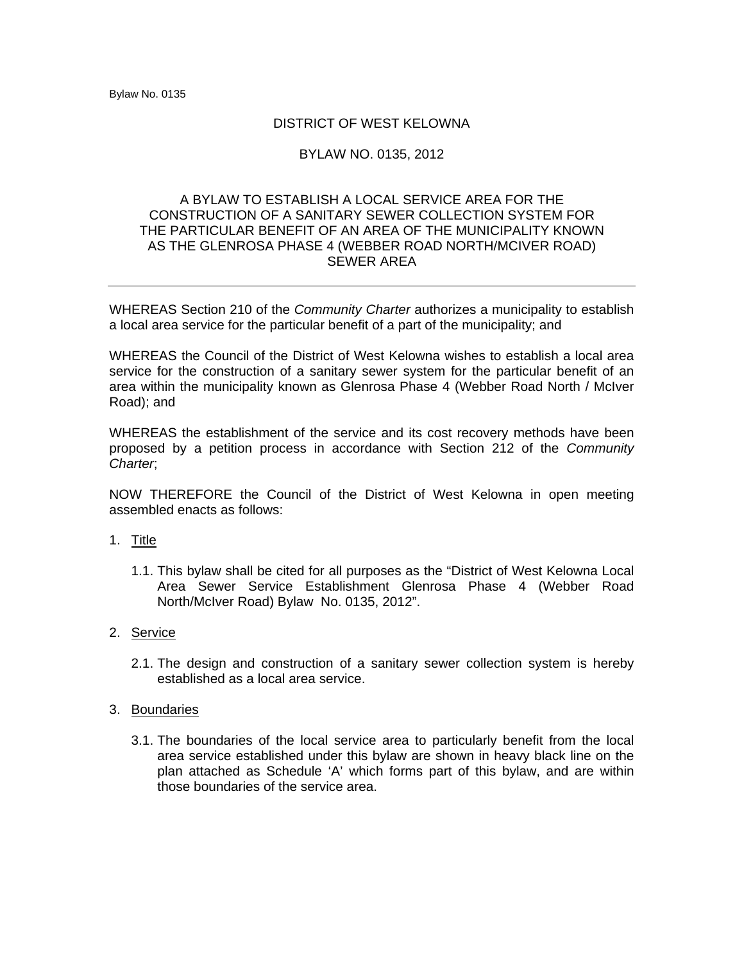# DISTRICT OF WEST KELOWNA

# BYLAW NO. 0135, 2012

# A BYLAW TO ESTABLISH A LOCAL SERVICE AREA FOR THE CONSTRUCTION OF A SANITARY SEWER COLLECTION SYSTEM FOR THE PARTICULAR BENEFIT OF AN AREA OF THE MUNICIPALITY KNOWN AS THE GLENROSA PHASE 4 (WEBBER ROAD NORTH/MCIVER ROAD) SEWER AREA

WHEREAS Section 210 of the *Community Charter* authorizes a municipality to establish a local area service for the particular benefit of a part of the municipality; and

WHEREAS the Council of the District of West Kelowna wishes to establish a local area service for the construction of a sanitary sewer system for the particular benefit of an area within the municipality known as Glenrosa Phase 4 (Webber Road North / McIver Road); and

WHEREAS the establishment of the service and its cost recovery methods have been proposed by a petition process in accordance with Section 212 of the *Community Charter*;

NOW THEREFORE the Council of the District of West Kelowna in open meeting assembled enacts as follows:

### 1. Title

1.1. This bylaw shall be cited for all purposes as the "District of West Kelowna Local Area Sewer Service Establishment Glenrosa Phase 4 (Webber Road North/McIver Road) Bylaw No. 0135, 2012".

### 2. Service

2.1. The design and construction of a sanitary sewer collection system is hereby established as a local area service.

### 3. Boundaries

3.1. The boundaries of the local service area to particularly benefit from the local area service established under this bylaw are shown in heavy black line on the plan attached as Schedule 'A' which forms part of this bylaw, and are within those boundaries of the service area.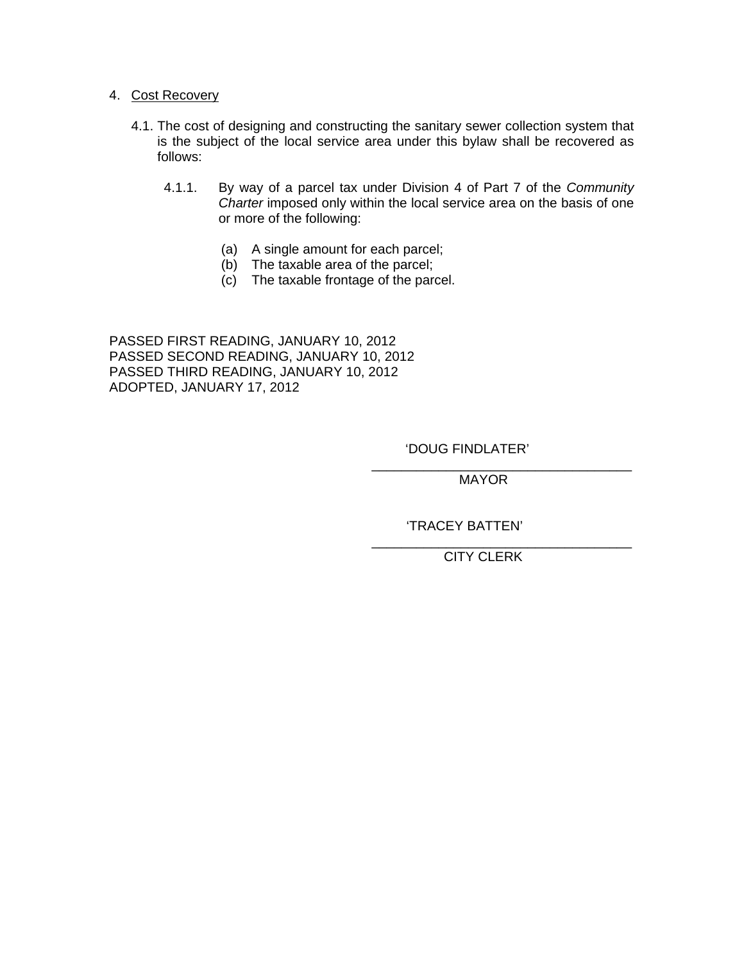# 4. Cost Recovery

- 4.1. The cost of designing and constructing the sanitary sewer collection system that is the subject of the local service area under this bylaw shall be recovered as follows:
	- 4.1.1. By way of a parcel tax under Division 4 of Part 7 of the *Community Charter* imposed only within the local service area on the basis of one or more of the following:
		- (a) A single amount for each parcel;
		- (b) The taxable area of the parcel;
		- (c) The taxable frontage of the parcel.

 $\overline{\phantom{a}}$  , which is a set of the contract of the contract of the contract of the contract of the contract of the contract of the contract of the contract of the contract of the contract of the contract of the contract

PASSED FIRST READING, JANUARY 10, 2012 PASSED SECOND READING, JANUARY 10, 2012 PASSED THIRD READING, JANUARY 10, 2012 ADOPTED, JANUARY 17, 2012

'DOUG FINDLATER'

 $\overline{\phantom{a}}$  , which is a set of the contract of the contract of the contract of the contract of the contract of the contract of the contract of the contract of the contract of the contract of the contract of the contract MAYOR

'TRACEY BATTEN'

CITY CLERK